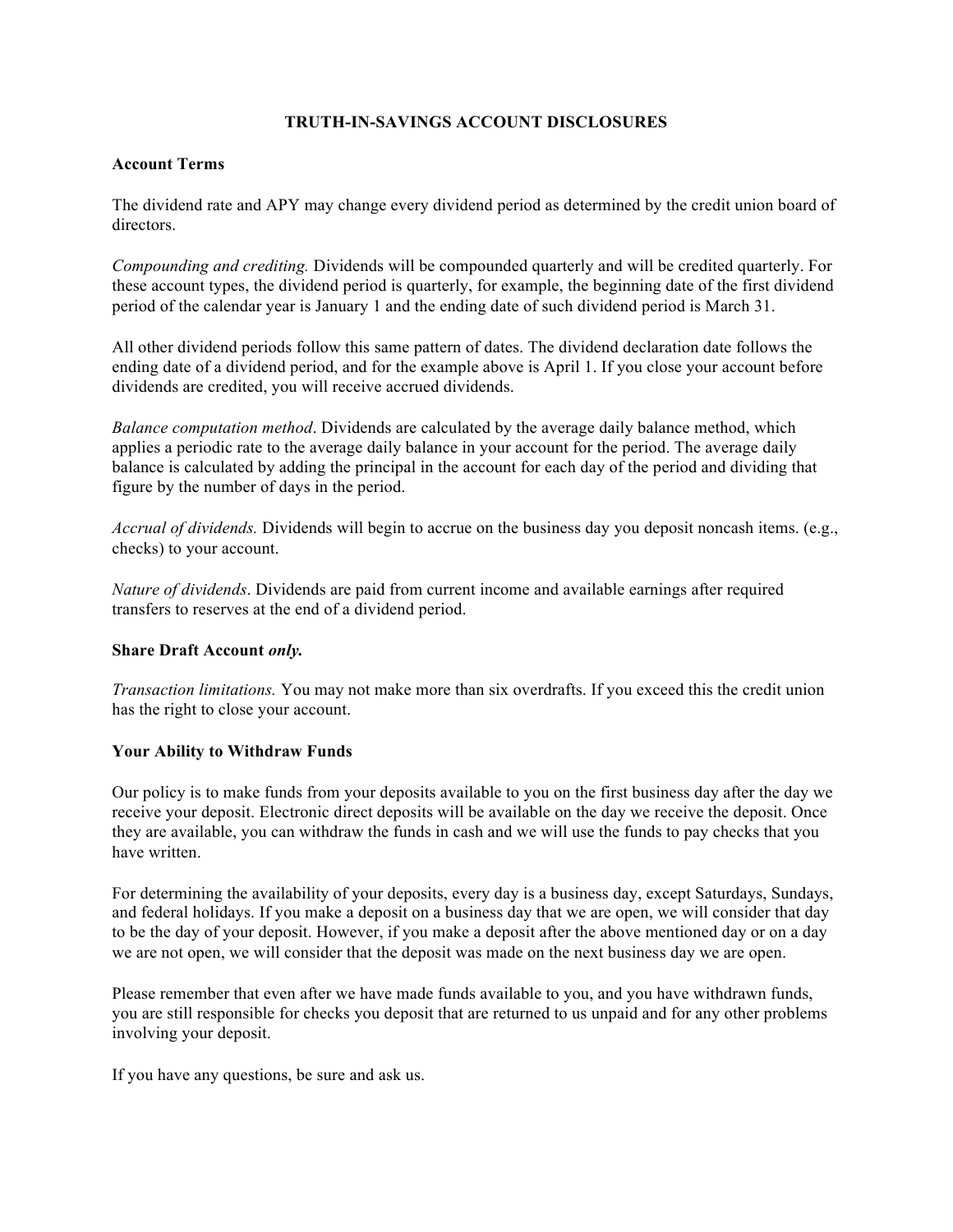# **TRUTH-IN-SAVINGS ACCOUNT DISCLOSURES**

#### **Account Terms**

The dividend rate and APY may change every dividend period as determined by the credit union board of directors.

*Compounding and crediting.* Dividends will be compounded quarterly and will be credited quarterly. For these account types, the dividend period is quarterly, for example, the beginning date of the first dividend period of the calendar year is January 1 and the ending date of such dividend period is March 31.

All other dividend periods follow this same pattern of dates. The dividend declaration date follows the ending date of a dividend period, and for the example above is April 1. If you close your account before dividends are credited, you will receive accrued dividends.

*Balance computation method*. Dividends are calculated by the average daily balance method, which applies a periodic rate to the average daily balance in your account for the period. The average daily balance is calculated by adding the principal in the account for each day of the period and dividing that figure by the number of days in the period.

*Accrual of dividends.* Dividends will begin to accrue on the business day you deposit noncash items. (e.g., checks) to your account.

*Nature of dividends*. Dividends are paid from current income and available earnings after required transfers to reserves at the end of a dividend period.

## **Share Draft Account** *only.*

*Transaction limitations.* You may not make more than six overdrafts. If you exceed this the credit union has the right to close your account.

## **Your Ability to Withdraw Funds**

Our policy is to make funds from your deposits available to you on the first business day after the day we receive your deposit. Electronic direct deposits will be available on the day we receive the deposit. Once they are available, you can withdraw the funds in cash and we will use the funds to pay checks that you have written.

For determining the availability of your deposits, every day is a business day, except Saturdays, Sundays, and federal holidays. If you make a deposit on a business day that we are open, we will consider that day to be the day of your deposit. However, if you make a deposit after the above mentioned day or on a day we are not open, we will consider that the deposit was made on the next business day we are open.

Please remember that even after we have made funds available to you, and you have withdrawn funds, you are still responsible for checks you deposit that are returned to us unpaid and for any other problems involving your deposit.

If you have any questions, be sure and ask us.